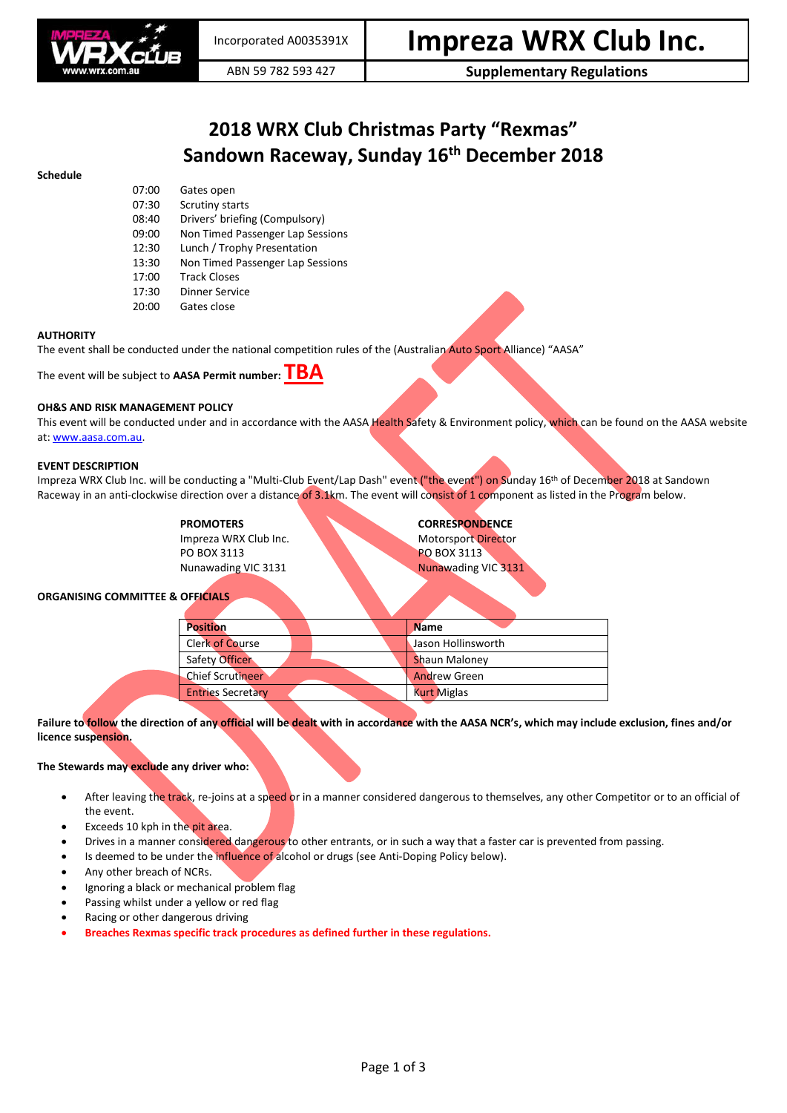

ABN 59 782 593 427 **Supplementary Regulations**

# **2018 WRX Club Christmas Party "Rexmas" Sandown Raceway, Sunday 16 th December 2018**

| 07:00 | Gates open                       |  |
|-------|----------------------------------|--|
| 07:30 | Scrutiny starts                  |  |
| 08:40 | Drivers' briefing (Compulsory)   |  |
| 09:00 | Non Timed Passenger Lap Sessions |  |
| 12:30 | Lunch / Trophy Presentation      |  |
| 13:30 | Non Timed Passenger Lap Sessions |  |
| 17:00 | <b>Track Closes</b>              |  |
| 17:30 | Dinner Service                   |  |
| 20:00 | Gates close                      |  |

# **AUTHORITY**

**Schedule**

The event shall be conducted under the national competition rules of the (Australian Auto Sport Alliance) "AASA"

The event will be subject to **AASA Permit number: TBA**

# **OH&S AND RISK MANAGEMENT POLICY**

This event will be conducted under and in accordance with the AASA Health Safety & Environment policy, which can be found on the AASA website at[: www.aasa.com.au.](http://www.aasa.com.au/)

#### **EVENT DESCRIPTION**

Impreza WRX Club Inc. will be conducting a "Multi-Club Event/Lap Dash" event ("the event") on Sunday 16<sup>th</sup> of December 2018 at Sandown Raceway in an anti-clockwise direction over a distance of 3.1km. The event will consist of 1 component as listed in the Program below.

> **PROMOTERS CORRESPONDENCE** Impreza WRX Club Inc. Motorsport Director PO BOX 3113 PO BOX 3113 Nunawading VIC 3131 Nunawading VIC 3131

# **ORGANISING COMMITTEE & OFFICIALS**

| <b>Position</b>          |  | <b>Name</b>          |  |
|--------------------------|--|----------------------|--|
| Clerk of Course          |  | Jason Hollinsworth   |  |
| Safety Officer           |  | <b>Shaun Maloney</b> |  |
| <b>Chief Scrutineer</b>  |  | <b>Andrew Green</b>  |  |
| <b>Entries Secretary</b> |  | <b>Kurt Miglas</b>   |  |
|                          |  |                      |  |

**Failure to follow the direction of any official will be dealt with in accordance with the AASA NCR's, which may include exclusion, fines and/or licence suspension.**

# **The Stewards may exclude any driver who:**

- After leaving the track, re-joins at a speed or in a manner considered dangerous to themselves, any other Competitor or to an official of the event.
- Exceeds 10 kph in the pit area.
- Drives in a manner considered dangerous to other entrants, or in such a way that a faster car is prevented from passing.
- Is deemed to be under the influence of alcohol or drugs (see Anti-Doping Policy below).
- Any other breach of NCRs.
- Ignoring a black or mechanical problem flag
- Passing whilst under a yellow or red flag
- Racing or other dangerous driving
- **Breaches Rexmas specific track procedures as defined further in these regulations.**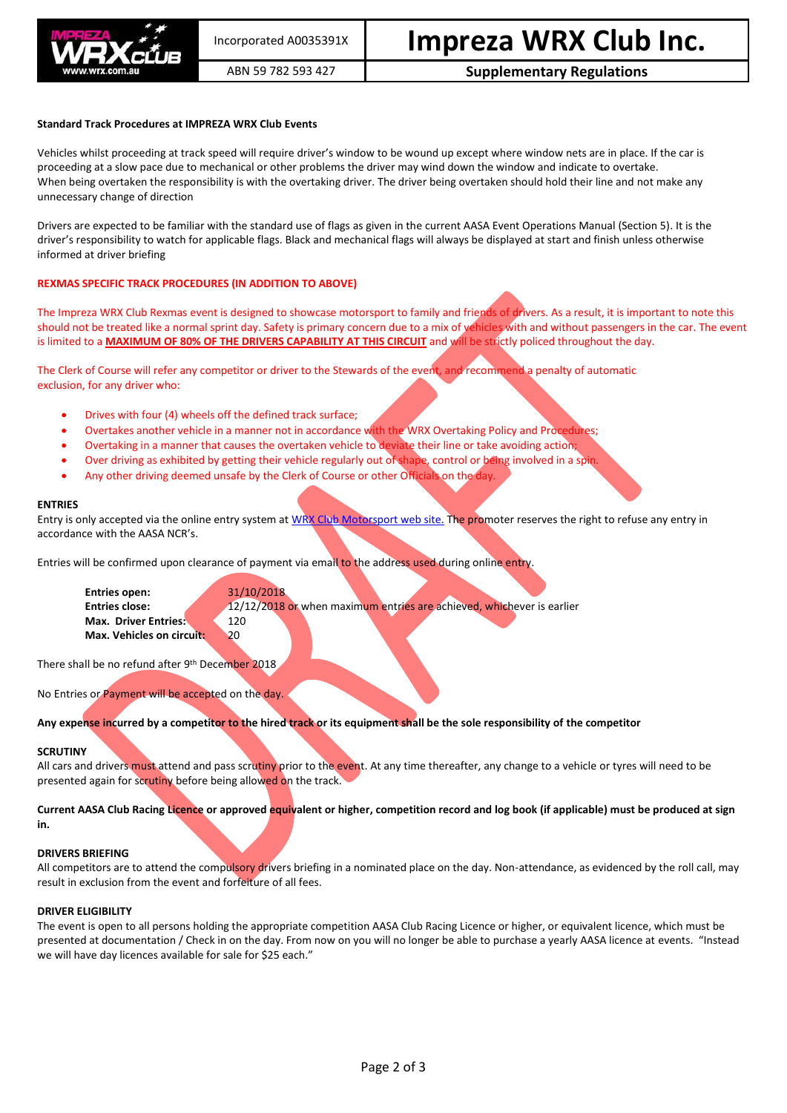

# ABN 59 782 593 427 **Supplementary Regulations**

### **Standard Track Procedures at IMPREZA WRX Club Events**

Vehicles whilst proceeding at track speed will require driver's window to be wound up except where window nets are in place. If the car is proceeding at a slow pace due to mechanical or other problems the driver may wind down the window and indicate to overtake. When being overtaken the responsibility is with the overtaking driver. The driver being overtaken should hold their line and not make any unnecessary change of direction

Drivers are expected to be familiar with the standard use of flags as given in the current AASA Event Operations Manual (Section 5). It is the driver's responsibility to watch for applicable flags. Black and mechanical flags will always be displayed at start and finish unless otherwise informed at driver briefing

# **REXMAS SPECIFIC TRACK PROCEDURES (IN ADDITION TO ABOVE)**

The Impreza WRX Club Rexmas event is designed to showcase motorsport to family and friends of drivers. As a result, it is important to note this should not be treated like a normal sprint day. Safety is primary concern due to a mix of vehicles with and without passengers in the car. The event is limited to a **MAXIMUM OF 80% OF THE DRIVERS CAPABILITY AT THIS CIRCUIT** and will be strictly policed throughout the day.

The Clerk of Course will refer any competitor or driver to the Stewards of the event, and recommend a penalty of automatic exclusion, for any driver who:

- Drives with four (4) wheels off the defined track surface;
- Overtakes another vehicle in a manner not in accordance with the WRX Overtaking Policy and Procedures;
- Overtaking in a manner that causes the overtaken vehicle to deviate their line or take avoiding action;
- Over driving as exhibited by getting their vehicle regularly out of shape, control or being involved in a spin.
- Any other driving deemed unsafe by the Clerk of Course or other Officials on the day.

#### **ENTRIES**

Entry is only accepted via the online entry system a[t WRX Club Motorsport web site.](http://www.wrx.com.au/motorsport) The promoter reserves the right to refuse any entry in accordance with the AASA NCR's.

Entries will be confirmed upon clearance of payment via email to the address used during online entry.

**Entries open:** 31/10/2018 **Entries close:** 12/12/2018 or when maximum entries are achieved, whichever is earlier **Max. Driver Entries: 120 Max. Vehicles on circuit:** 20

There shall be no refund after 9<sup>th</sup> December 2018

No Entries or Payment will be accepted on the day.

**Any expense incurred by a competitor to the hired track or its equipment shall be the sole responsibility of the competitor**

# **SCRUTINY**

All cars and drivers must attend and pass scrutiny prior to the event. At any time thereafter, any change to a vehicle or tyres will need to be presented again for scrutiny before being allowed on the track.

**Current AASA Club Racing Licence or approved equivalent or higher, competition record and log book (if applicable) must be produced at sign in.**

#### **DRIVERS BRIEFING**

All competitors are to attend the compulsory drivers briefing in a nominated place on the day. Non-attendance, as evidenced by the roll call, may result in exclusion from the event and forfeiture of all fees.

#### **DRIVER ELIGIBILITY**

The event is open to all persons holding the appropriate competition AASA Club Racing Licence or higher, or equivalent licence, which must be presented at documentation / Check in on the day. From now on you will no longer be able to purchase a yearly AASA licence at events. "Instead we will have day licences available for sale for \$25 each."